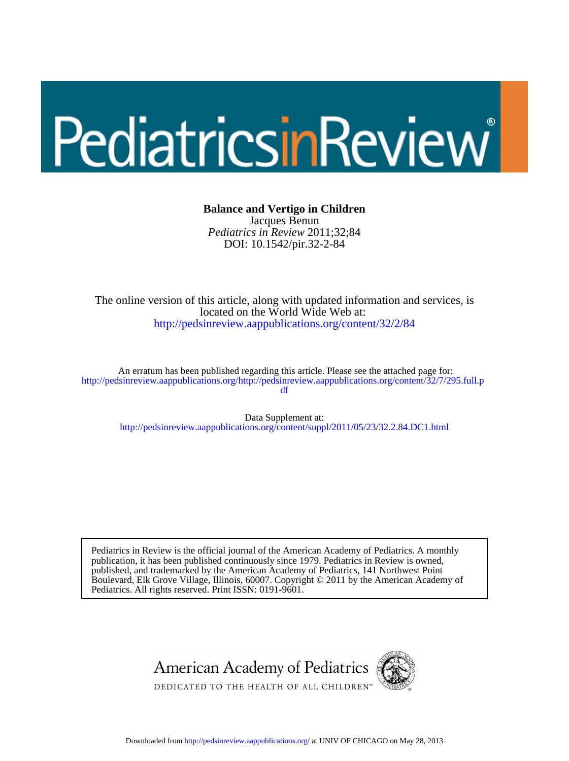# PediatricsinReview

#### **Balance and Vertigo in Children**

DOI: 10.1542/pir.32-2-84 *Pediatrics in Review* 2011;32;84 Jacques Benun

<http://pedsinreview.aappublications.org/content/32/2/84> located on the World Wide Web at: The online version of this article, along with updated information and services, is

df http://pedsinreview.aappublications.org/http://pedsinreview.aappublications.org/content/32/7/295.full.p An erratum has been published regarding this article. Please see the attached page for:

http://pedsinreview.aappublications.org/content/suppl/2011/05/23/32.2.84.DC1.html Data Supplement at:

Pediatrics. All rights reserved. Print ISSN: 0191-9601. Boulevard, Elk Grove Village, Illinois, 60007. Copyright © 2011 by the American Academy of published, and trademarked by the American Academy of Pediatrics, 141 Northwest Point publication, it has been published continuously since 1979. Pediatrics in Review is owned, Pediatrics in Review is the official journal of the American Academy of Pediatrics. A monthly



Downloaded from<http://pedsinreview.aappublications.org/>at UNIV OF CHICAGO on May 28, 2013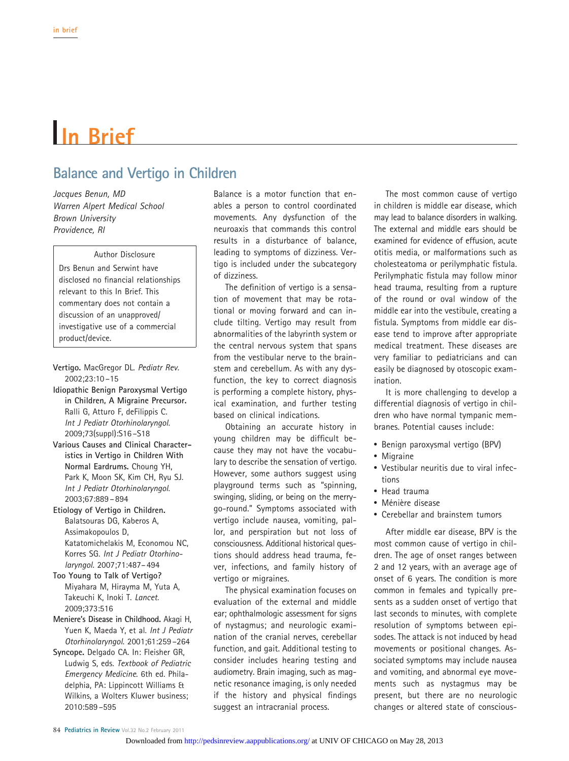## **In Brief**

### **Balance and Vertigo in Children**

*Jacques Benun, MD Warren Alpert Medical School Brown University Providence, RI*

Author Disclosure Drs Benun and Serwint have disclosed no financial relationships relevant to this In Brief. This commentary does not contain a discussion of an unapproved/ investigative use of a commercial product/device.

- **Vertigo.** MacGregor DL. *Pediatr Rev.* 2002;23:10 –15
- **Idiopathic Benign Paroxysmal Vertigo in Children, A Migraine Precursor.** Ralli G, Atturo F, deFilippis C. *Int J Pediatr Otorhinolaryngol.* 2009;73(suppl):S16 –S18
- **Various Causes and Clinical Characteristics in Vertigo in Children With Normal Eardrums.** Choung YH, Park K, Moon SK, Kim CH, Ryu SJ. *Int J Pediatr Otorhinolaryngol*. 2003;67:889 – 894
- **Etiology of Vertigo in Children.** Balatsouras DG, Kaberos A, Assimakopoulos D, Katatomichelakis M, Economou NC, Korres SG. *Int J Pediatr Otorhinolaryngol.* 2007;71:487– 494
- **Too Young to Talk of Vertigo?** Miyahara M, Hirayma M, Yuta A, Takeuchi K, Inoki T. *Lancet.* 2009;373:516
- **Meniere's Disease in Childhood.** Akagi H, Yuen K, Maeda Y, et al. *Int J Pediatr Otorhinolaryngol.* 2001;61:259 –264
- **Syncope.** Delgado CA. In: Fleisher GR, Ludwig S, eds. *Textbook of Pediatric Emergency Medicine*. 6th ed. Philadelphia, PA: Lippincott Williams & Wilkins, a Wolters Kluwer business; 2010:589 –595

Balance is a motor function that enables a person to control coordinated movements. Any dysfunction of the neuroaxis that commands this control results in a disturbance of balance, leading to symptoms of dizziness. Vertigo is included under the subcategory of dizziness.

The definition of vertigo is a sensation of movement that may be rotational or moving forward and can include tilting. Vertigo may result from abnormalities of the labyrinth system or the central nervous system that spans from the vestibular nerve to the brainstem and cerebellum. As with any dysfunction, the key to correct diagnosis is performing a complete history, physical examination, and further testing based on clinical indications.

Obtaining an accurate history in young children may be difficult because they may not have the vocabulary to describe the sensation of vertigo. However, some authors suggest using playground terms such as "spinning, swinging, sliding, or being on the merrygo-round." Symptoms associated with vertigo include nausea, vomiting, pallor, and perspiration but not loss of consciousness. Additional historical questions should address head trauma, fever, infections, and family history of vertigo or migraines.

The physical examination focuses on evaluation of the external and middle ear; ophthalmologic assessment for signs of nystagmus; and neurologic examination of the cranial nerves, cerebellar function, and gait. Additional testing to consider includes hearing testing and audiometry. Brain imaging, such as magnetic resonance imaging, is only needed if the history and physical findings suggest an intracranial process.

The most common cause of vertigo in children is middle ear disease, which may lead to balance disorders in walking. The external and middle ears should be examined for evidence of effusion, acute otitis media, or malformations such as cholesteatoma or perilymphatic fistula. Perilymphatic fistula may follow minor head trauma, resulting from a rupture of the round or oval window of the middle ear into the vestibule, creating a fistula. Symptoms from middle ear disease tend to improve after appropriate medical treatment. These diseases are very familiar to pediatricians and can easily be diagnosed by otoscopic examination.

It is more challenging to develop a differential diagnosis of vertigo in children who have normal tympanic membranes. Potential causes include:

- Benign paroxysmal vertigo (BPV)
- Migraine
- Vestibular neuritis due to viral infections
- Head trauma
- Ménière disease
- Cerebellar and brainstem tumors

After middle ear disease, BPV is the most common cause of vertigo in children. The age of onset ranges between 2 and 12 years, with an average age of onset of 6 years. The condition is more common in females and typically presents as a sudden onset of vertigo that last seconds to minutes, with complete resolution of symptoms between episodes. The attack is not induced by head movements or positional changes. Associated symptoms may include nausea and vomiting, and abnormal eye movements such as nystagmus may be present, but there are no neurologic changes or altered state of conscious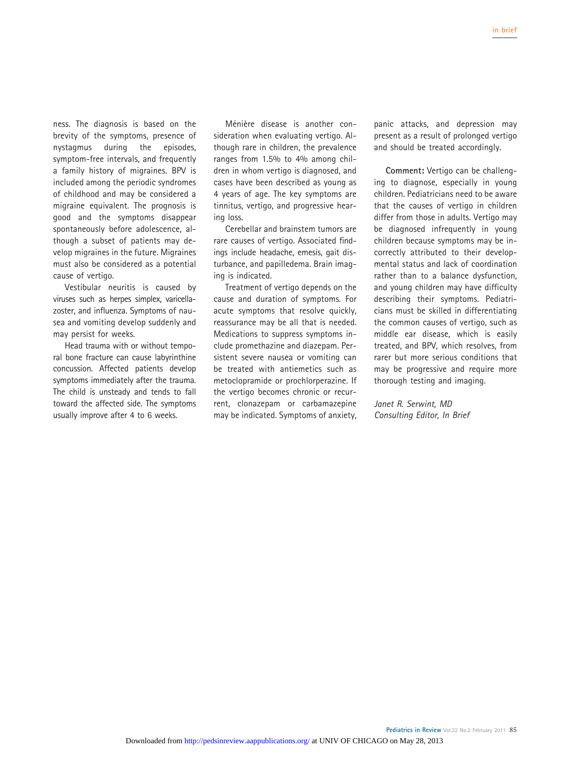ness. The diagnosis is based on the brevity of the symptoms, presence of nystagmus during the episodes, symptom-free intervals, and frequently a family history of migraines. BPV is included among the periodic syndromes of childhood and may be considered a migraine equivalent. The prognosis is good and the symptoms disappear spontaneously before adolescence, although a subset of patients may develop migraines in the future. Migraines must also be considered as a potential cause of vertigo.

Vestibular neuritis is caused by viruses such as herpes simplex, varicellazoster, and influenza. Symptoms of nausea and vomiting develop suddenly and may persist for weeks.

Head trauma with or without temporal bone fracture can cause labyrinthine concussion. Affected patients develop symptoms immediately after the trauma. The child is unsteady and tends to fall toward the affected side. The symptoms usually improve after 4 to 6 weeks.

Ménière disease is another consideration when evaluating vertigo. Although rare in children, the prevalence ranges from 1.5% to 4% among children in whom vertigo is diagnosed, and cases have been described as young as 4 years of age. The key symptoms are tinnitus, vertigo, and progressive hearing loss.

Cerebellar and brainstem tumors are rare causes of vertigo. Associated findings include headache, emesis, gait disturbance, and papilledema. Brain imaging is indicated.

Treatment of vertigo depends on the cause and duration of symptoms. For acute symptoms that resolve quickly, reassurance may be all that is needed. Medications to suppress symptoms include promethazine and diazepam. Persistent severe nausea or vomiting can be treated with antiemetics such as metoclopramide or prochlorperazine. If the vertigo becomes chronic or recurrent, clonazepam or carbamazepine may be indicated. Symptoms of anxiety, panic attacks, and depression may present as a result of prolonged vertigo and should be treated accordingly.

**Comment:** Vertigo can be challenging to diagnose, especially in young children. Pediatricians need to be aware that the causes of vertigo in children differ from those in adults. Vertigo may be diagnosed infrequently in young children because symptoms may be incorrectly attributed to their developmental status and lack of coordination rather than to a balance dysfunction, and young children may have difficulty describing their symptoms. Pediatricians must be skilled in differentiating the common causes of vertigo, such as middle ear disease, which is easily treated, and BPV, which resolves, from rarer but more serious conditions that may be progressive and require more thorough testing and imaging.

#### *Janet R. Serwint, MD Consulting Editor, In Brief*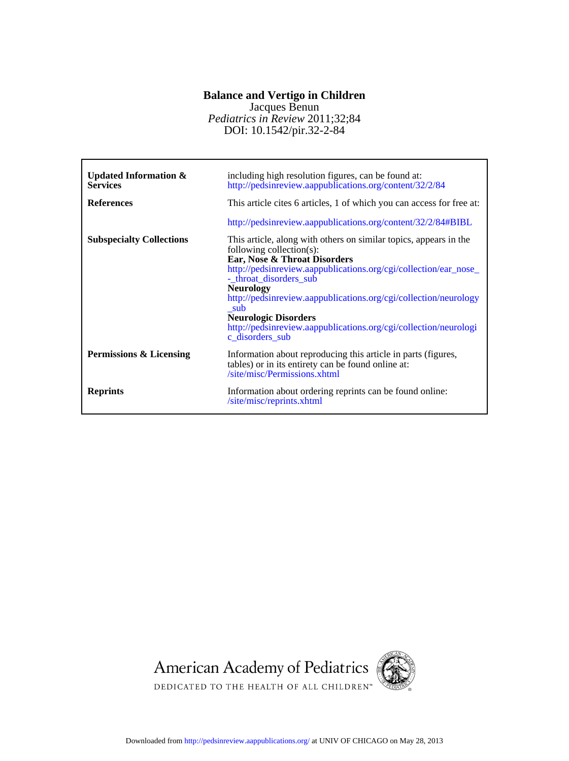#### **Balance and Vertigo in Children**

*Pediatrics in Review* 2011;32;84 Jacques Benun

DOI: 10.1542/pir.32-2-84

| Updated Information $\&$<br><b>Services</b> | including high resolution figures, can be found at:<br>http://pedsinreview.aappublications.org/content/32/2/84                                                                                                                                                                                                                                                                                                                                       |
|---------------------------------------------|------------------------------------------------------------------------------------------------------------------------------------------------------------------------------------------------------------------------------------------------------------------------------------------------------------------------------------------------------------------------------------------------------------------------------------------------------|
| <b>References</b>                           | This article cites 6 articles, 1 of which you can access for free at:                                                                                                                                                                                                                                                                                                                                                                                |
|                                             | http://pedsinreview.aappublications.org/content/32/2/84#BIBL                                                                                                                                                                                                                                                                                                                                                                                         |
| <b>Subspecialty Collections</b>             | This article, along with others on similar topics, appears in the<br>following collection $(s)$ :<br>Ear, Nose & Throat Disorders<br>http://pedsinreview.aappublications.org/cgi/collection/ear_nose_<br>-_throat_disorders_sub<br><b>Neurology</b><br>http://pedsinreview.aappublications.org/cgi/collection/neurology<br>sub<br><b>Neurologic Disorders</b><br>http://pedsinreview.aappublications.org/cgi/collection/neurologi<br>c disorders sub |
| Permissions & Licensing                     | Information about reproducing this article in parts (figures,<br>tables) or in its entirety can be found online at:<br>/site/misc/Permissions.xhtml                                                                                                                                                                                                                                                                                                  |
| <b>Reprints</b>                             | Information about ordering reprints can be found online:<br>/site/misc/reprints.xhtml                                                                                                                                                                                                                                                                                                                                                                |